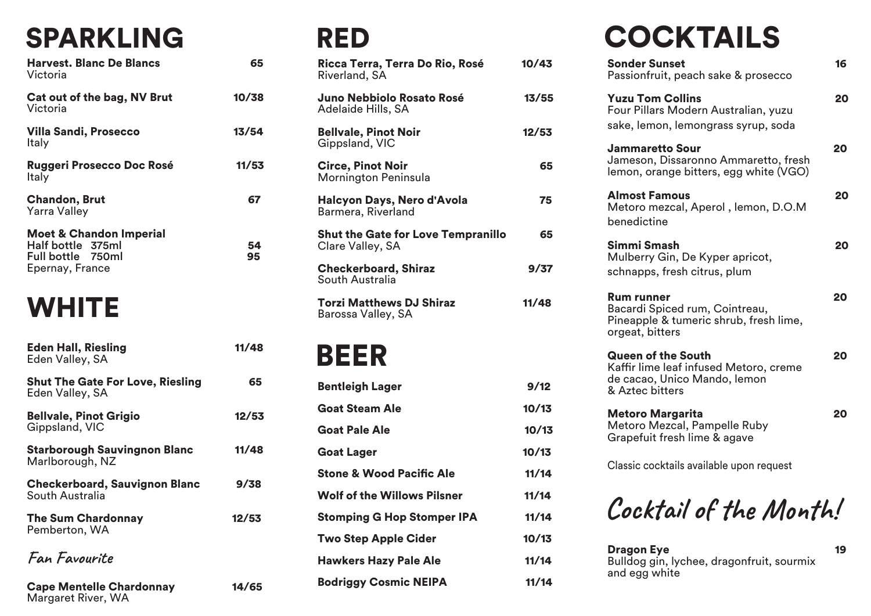### SPARKLING

| <b>Harvest. Blanc De Blancs</b><br>Victoria                                                     | 65       |
|-------------------------------------------------------------------------------------------------|----------|
| Cat out of the bag, NV Brut<br>Victoria                                                         | 10/38    |
| <b>Villa Sandi, Prosecco</b><br>Italy                                                           | 13/54    |
| <b>Ruggeri Prosecco Doc Rosé</b><br>Italy                                                       | 11/53    |
| <b>Chandon, Brut</b><br><b>Yarra Valley</b>                                                     | 67       |
| <b>Moet &amp; Chandon Imperial</b><br>Half bottle 375ml<br>Full bottle 750ml<br>Epernay, France | 54<br>95 |

#### **WHITE**

Margaret River, WA

| <b>Eden Hall, Riesling</b><br>Eden Valley, SA              | 11/48 |
|------------------------------------------------------------|-------|
| <b>Shut The Gate For Love, Riesling</b><br>Eden Valley, SA | 65    |
| <b>Bellvale, Pinot Grigio</b><br>Gippsland, VIC            | 12/53 |
| <b>Starborough Sauvingnon Blanc</b><br>Marlborough, NZ     | 11/48 |
| <b>Checkerboard, Sauvignon Blanc</b><br>South Australia    | 9/38  |
| <b>The Sum Chardonnay</b><br>Pemberton, WA                 | 12/53 |
| Fan Favourite                                              |       |
| <b>Cape Mentelle Chardonnay</b>                            | 14/65 |

#### RED

| Ricca Terra, Terra Do Rio, Rosé<br>Riverland, SA              | 10/43 |
|---------------------------------------------------------------|-------|
| Juno Nebbiolo Rosato Rosé<br>Adelaide Hills, SA               | 13/55 |
| <b>Bellvale, Pinot Noir</b><br>Gippsland, VIC                 | 12/53 |
| <b>Circe, Pinot Noir</b><br>Mornington Peninsula              | 65    |
| Halcyon Days, Nero d'Avola<br>Barmera, Riverland              | 75    |
| <b>Shut the Gate for Love Tempranillo</b><br>Clare Valley, SA | 65    |
| <b>Checkerboard, Shiraz</b><br>South Australia                | 9/37  |
| <b>Torzi Matthews DJ Shiraz</b><br>Barossa Valley, SA         | 11/48 |
| BEER                                                          |       |
| Bentleigh Lager                                               | 9/12  |
| <b>Goat Steam Ale</b>                                         | 10/13 |

| <b>Goat Steam Ale</b>               | 10/13 |
|-------------------------------------|-------|
| <b>Goat Pale Ale</b>                | 10/13 |
| <b>Goat Lager</b>                   | 10/13 |
| <b>Stone &amp; Wood Pacific Ale</b> | 11/14 |
| <b>Wolf of the Willows Pilsner</b>  | 11/14 |
| <b>Stomping G Hop Stomper IPA</b>   | 11/14 |
| <b>Two Step Apple Cider</b>         | 10/13 |
| <b>Hawkers Hazy Pale Ale</b>        | 11/14 |
| <b>Bodriggy Cosmic NEIPA</b>        | 11/14 |

# **COCKTAILS**

| <b>Sonder Sunset</b><br>Passionfruit, peach sake & prosecco                                                            | 16 |
|------------------------------------------------------------------------------------------------------------------------|----|
| <b>Yuzu Tom Collins</b><br>Four Pillars Modern Australian, yuzu<br>sake, lemon, lemongrass syrup, soda                 | 20 |
| <b>Jammaretto Sour</b><br>Jameson, Dissaronno Ammaretto, fresh<br>lemon, orange bitters, egg white (VGO)               | 20 |
| <b>Almost Famous</b><br>Metoro mezcal, Aperol, lemon, D.O.M<br>benedictine                                             | 20 |
| Simmi Smash<br>Mulberry Gin, De Kyper apricot,<br>schnapps, fresh citrus, plum                                         | 20 |
| <b>Rum runner</b><br>Bacardi Spiced rum, Cointreau,<br>Pineapple & tumeric shrub, fresh lime,<br>orgeat, bitters       | 20 |
| <b>Queen of the South</b><br>Kaffir lime leaf infused Metoro, creme<br>de cacao, Unico Mando, lemon<br>& Aztec bitters | 20 |
| <b>Metoro Margarita</b><br>Metoro Mezcal, Pampelle Ruby<br>Grapefuit fresh lime & agave                                | 20 |
| Classic cocktails available upon request                                                                               |    |
| Cocktail of the Month!                                                                                                 |    |

Dragon Eye 19 Bulldog gin, lychee, dragonfruit, sourmix and egg white